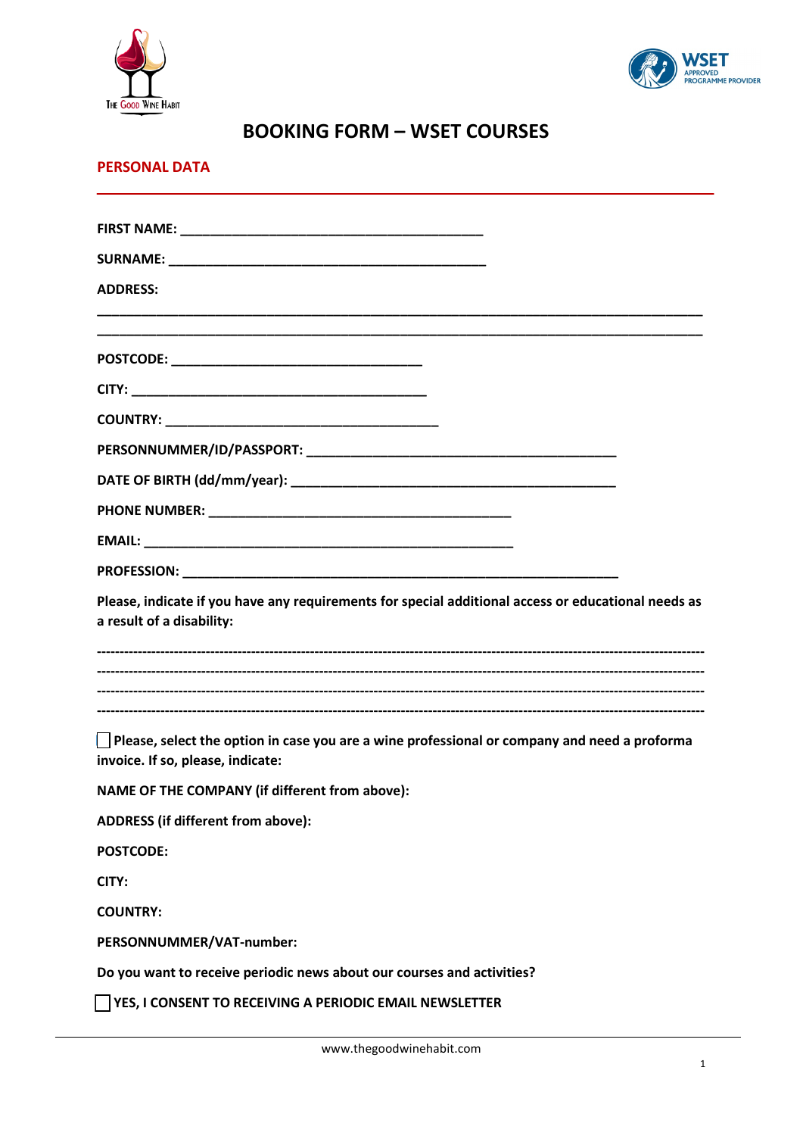



# **BOOKING FORM – WSET COURSES**

## **PERSONAL DATA**

| <b>ADDRESS:</b>                                                                                                                          |
|------------------------------------------------------------------------------------------------------------------------------------------|
|                                                                                                                                          |
|                                                                                                                                          |
|                                                                                                                                          |
|                                                                                                                                          |
|                                                                                                                                          |
|                                                                                                                                          |
|                                                                                                                                          |
|                                                                                                                                          |
|                                                                                                                                          |
| Please, indicate if you have any requirements for special additional access or educational needs as<br>a result of a disability:         |
|                                                                                                                                          |
| $\Box$ Please, select the option in case you are a wine professional or company and need a proforma<br>invoice. If so, please, indicate: |
| NAME OF THE COMPANY (if different from above):                                                                                           |
| ADDRESS (if different from above):                                                                                                       |
| <b>POSTCODE:</b>                                                                                                                         |
| CITY:                                                                                                                                    |
| <b>COUNTRY:</b>                                                                                                                          |
| PERSONNUMMER/VAT-number:                                                                                                                 |
| Do you want to receive periodic news about our courses and activities?                                                                   |
| $\Box$ YES, I CONSENT TO RECEIVING A PERIODIC EMAIL NEWSLETTER                                                                           |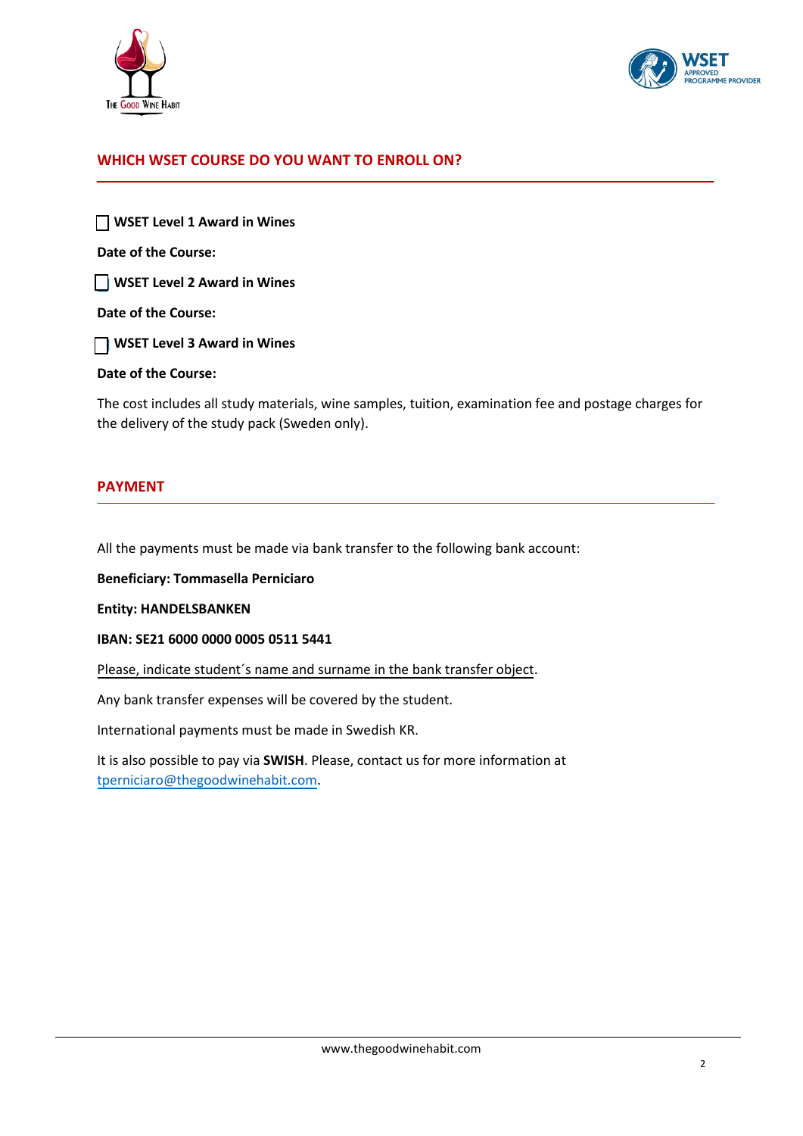



## **WHICH WSET COURSE DO YOU WANT TO ENROLL ON?**

 **WSET Level 1 Award in Wines Date of the Course: WSET Level 2 Award in Wines Date of the Course: WSET Level 3 Award in Wines**

#### **Date of the Course:**

The cost includes all study materials, wine samples, tuition, examination fee and postage charges for the delivery of the study pack (Sweden only).

#### **PAYMENT**

All the payments must be made via bank transfer to the following bank account:

**Beneficiary: Tommasella Perniciaro**

**Entity: HANDELSBANKEN**

**IBAN: SE21 6000 0000 0005 0511 5441**

Please, indicate student's name and surname in the bank transfer object.

Any bank transfer expenses will be covered by the student.

International payments must be made in Swedish KR.

It is also possible to pay via **SWISH**. Please, contact us for more information at [tperniciaro@thegoodwinehabit.com.](mailto:tperniciaro@thegoodwinehabit.com)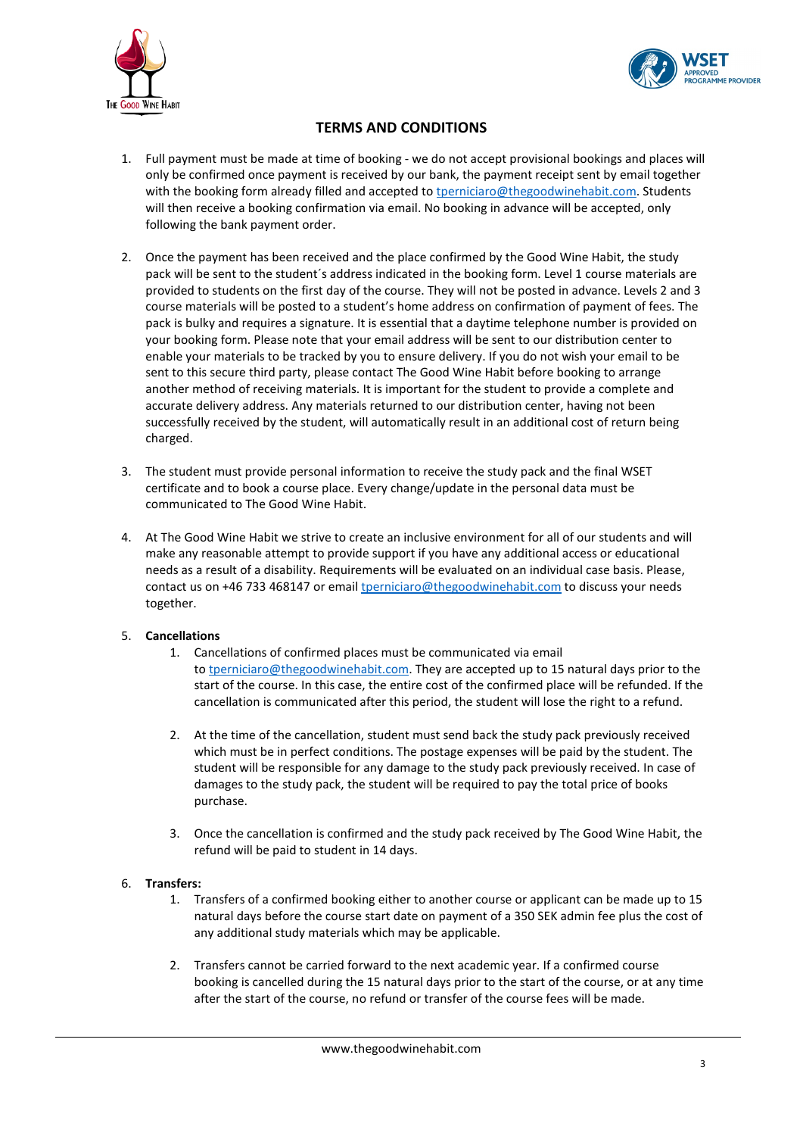



## **TERMS AND CONDITIONS**

- 1. Full payment must be made at time of booking we do not accept provisional bookings and places will only be confirmed once payment is received by our bank, the payment receipt sent by email together with the booking form already filled and accepted to the enticiaro@thegoodwinehabit.com. Students will then receive a booking confirmation via email. No booking in advance will be accepted, only following the bank payment order.
- 2. Once the payment has been received and the place confirmed by the Good Wine Habit, the study pack will be sent to the student´s address indicated in the booking form. Level 1 course materials are provided to students on the first day of the course. They will not be posted in advance. Levels 2 and 3 course materials will be posted to a student's home address on confirmation of payment of fees. The pack is bulky and requires a signature. It is essential that a daytime telephone number is provided on your booking form. Please note that your email address will be sent to our distribution center to enable your materials to be tracked by you to ensure delivery. If you do not wish your email to be sent to this secure third party, please contact The Good Wine Habit before booking to arrange another method of receiving materials. It is important for the student to provide a complete and accurate delivery address. Any materials returned to our distribution center, having not been successfully received by the student, will automatically result in an additional cost of return being charged.
- 3. The student must provide personal information to receive the study pack and the final WSET certificate and to book a course place. Every change/update in the personal data must be communicated to The Good Wine Habit.
- 4. At The Good Wine Habit we strive to create an inclusive environment for all of our students and will make any reasonable attempt to provide support if you have any additional access or educational needs as a result of a disability. Requirements will be evaluated on an individual case basis. Please, contact us on +46 733 468147 or email [tperniciaro@thegoodwinehabit.com](mailto:tperniciaro@thegoodwinehabit.com) to discuss your needs together.

#### 5. **Cancellations**

- 1. Cancellations of confirmed places must be communicated via email to [tperniciaro@thegoodwinehabit.com.](mailto:tperniciaro@thegoodwinehabit.com) They are accepted up to 15 natural days prior to the start of the course. In this case, the entire cost of the confirmed place will be refunded. If the cancellation is communicated after this period, the student will lose the right to a refund.
- 2. At the time of the cancellation, student must send back the study pack previously received which must be in perfect conditions. The postage expenses will be paid by the student. The student will be responsible for any damage to the study pack previously received. In case of damages to the study pack, the student will be required to pay the total price of books purchase.
- 3. Once the cancellation is confirmed and the study pack received by The Good Wine Habit, the refund will be paid to student in 14 days.

#### 6. **Transfers:**

- 1. Transfers of a confirmed booking either to another course or applicant can be made up to 15 natural days before the course start date on payment of a 350 SEK admin fee plus the cost of any additional study materials which may be applicable.
- 2. Transfers cannot be carried forward to the next academic year. If a confirmed course booking is cancelled during the 15 natural days prior to the start of the course, or at any time after the start of the course, no refund or transfer of the course fees will be made.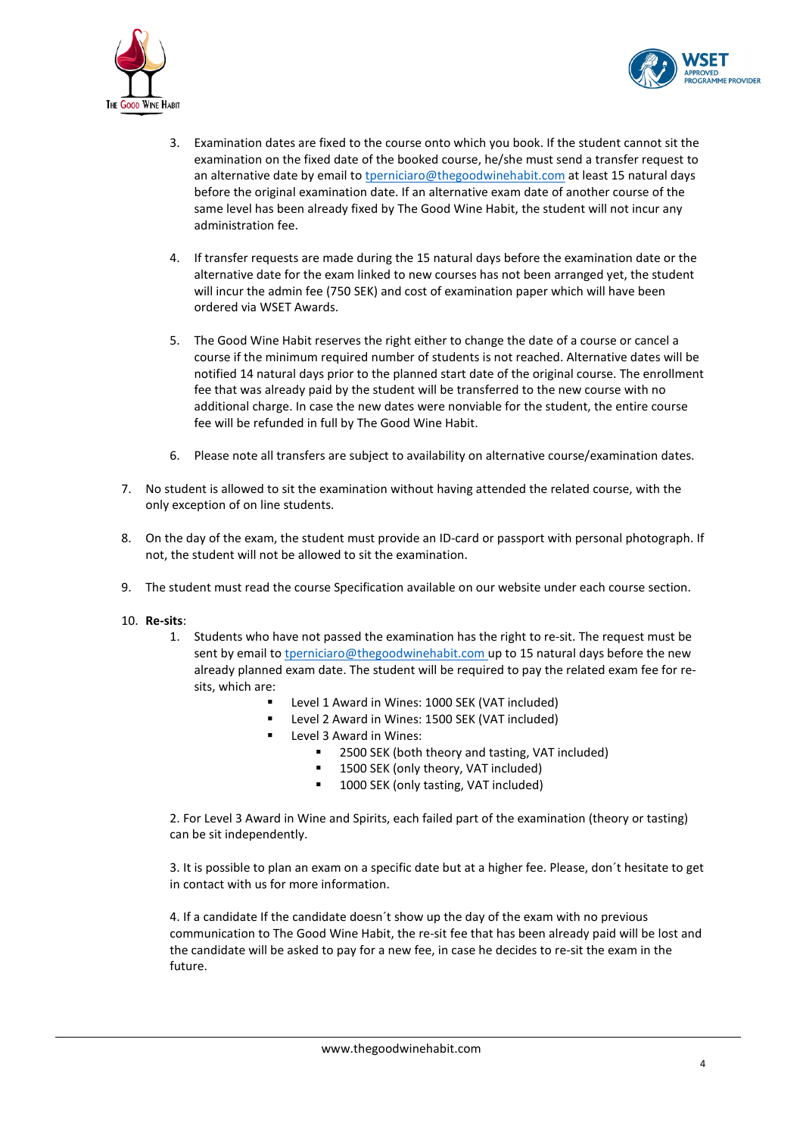



- 3. Examination dates are fixed to the course onto which you book. If the student cannot sit the examination on the fixed date of the booked course, he/she must send a transfer request to an alternative date by email to [tperniciaro@thegoodwinehabit.com](mailto:tperniciaro@thegoodwinehabit.com) at least 15 natural days before the original examination date. If an alternative exam date of another course of the same level has been already fixed by The Good Wine Habit, the student will not incur any administration fee.
- 4. If transfer requests are made during the 15 natural days before the examination date or the alternative date for the exam linked to new courses has not been arranged yet, the student will incur the admin fee (750 SEK) and cost of examination paper which will have been ordered via WSET Awards.
- 5. The Good Wine Habit reserves the right either to change the date of a course or cancel a course if the minimum required number of students is not reached. Alternative dates will be notified 14 natural days prior to the planned start date of the original course. The enrollment fee that was already paid by the student will be transferred to the new course with no additional charge. In case the new dates were nonviable for the student, the entire course fee will be refunded in full by The Good Wine Habit.
- 6. Please note all transfers are subject to availability on alternative course/examination dates.
- 7. No student is allowed to sit the examination without having attended the related course, with the only exception of on line students.
- 8. On the day of the exam, the student must provide an ID-card or passport with personal photograph. If not, the student will not be allowed to sit the examination.
- 9. The student must read the course Specification available on our [website](http://www.thegoodwinehabit.com/) under each course section.
- 10. **Re-sits**:
	- 1. Students who have not passed the examination has the right to re-sit. The request must be sent by email to [tperniciaro@thegoodwinehabit.com](mailto:tperniciaro@thegoodwinehabit.com) up to 15 natural days before the new already planned exam date. The student will be required to pay the related exam fee for resits, which are:
		- Level 1 Award in Wines: 1000 SEK (VAT included)
		- Level 2 Award in Wines: 1500 SEK (VAT included)
		- Level 3 Award in Wines:
			- 2500 SEK (both theory and tasting, VAT included)
				- 1500 SEK (only theory, VAT included)
				- **1000 SEK (only tasting, VAT included)**

2. For Level 3 Award in Wine and Spirits, each failed part of the examination (theory or tasting) can be sit independently.

3. It is possible to plan an exam on a specific date but at a higher fee. Please, don´t hesitate to get in contact with us for more information.

4. If a candidate If the candidate doesn´t show up the day of the exam with no previous communication to The Good Wine Habit, the re-sit fee that has been already paid will be lost and the candidate will be asked to pay for a new fee, in case he decides to re-sit the exam in the future.